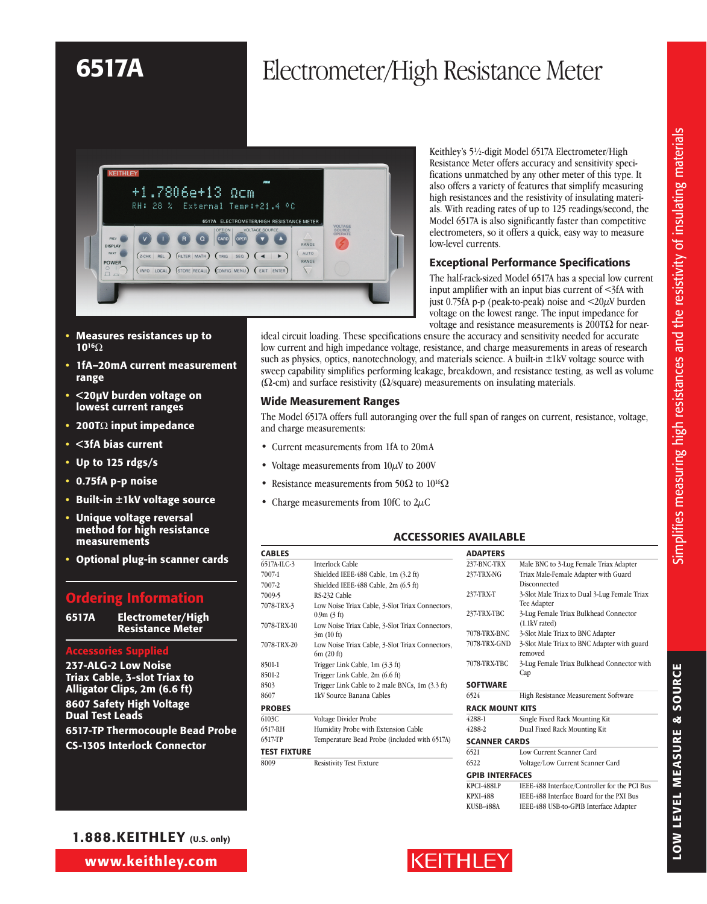

Resistance Meter offers accuracy and sensitivity specifications unmatched by any other meter of this type. It also offers a variety of features that simplify measuring high resistances and the resistivity of insulating materials. With reading rates of up to 125 readings/second, the Model 6517A is also significantly faster than competitive electrometers, so it offers a quick, easy way to measure low-level currents.

Keithley's 5<sup>1</sup>/2-digit Model 6517A Electrometer/High

#### Exceptional Performance Specifications

The half-rack-sized Model 6517A has a special low current input amplifier with an input bias current of <3fA with just 0.75fA p-p (peak-to-peak) noise and <20µV burden voltage on the lowest range. The input impedance for voltage and resistance measurements is 200TΩ for near-

- Measures resistances up to 1016Ω
- 1fA-20mA current measurement range
- • <20µV burden voltage on lowest current ranges
- 200T $\Omega$  input impedance
- • <3fA bias current
- • Up to 125 rdgs/s
- • 0.75fA p-p noise
- Built-in  $\pm$ 1kV voltage source
- • Unique voltage reversal method for high resistance measurements
- • Optional plug-in scanner cards

### Ordering Information

6517A Electrometer/High Resistance Meter

#### Accessories Supplied

237-ALG-2 Low Noise Triax Cable, 3-slot Triax to Alligator Clips, 2m (6.6 ft) 8607 Safety High Voltage Dual Test Leads 6517-TP Thermocouple Bead Probe CS-1305 Interlock Connector

1.888.KEITHLEY (U.S. only)

www.keithley.com

ideal circuit loading. These specifications ensure the accuracy and sensitivity needed for accurate low current and high impedance voltage, resistance, and charge measurements in areas of research such as physics, optics, nanotechnology, and materials science. A built-in  $\pm 1$ kV voltage source with sweep capability simplifies performing leakage, breakdown, and resistance testing, as well as volume ( $\Omega$ -cm) and surface resistivity ( $\Omega$ /square) measurements on insulating materials.

#### Wide Measurement Ranges

The Model 6517A offers full autoranging over the full span of ranges on current, resistance, voltage, and charge measurements:

- Current measurements from 1fA to 20mA
- Voltage measurements from  $10\mu$ V to 200V
- Resistance measurements from 50 $\Omega$  to 10<sup>16</sup> $\Omega$
- Charge measurements from 10fC to  $2\mu$ C

### ACCESSORIES AVAILABLE

| <b>CABLES</b>       |                                                               |
|---------------------|---------------------------------------------------------------|
| 6517A-ILC-3         | Interlock Cable                                               |
| 7007-1              | Shielded IEEE-488 Cable, 1m (3.2 ft)                          |
| 7007-2              | Shielded IEEE-488 Cable, 2m (6.5 ft)                          |
| 7009-5              | RS-232 Cable                                                  |
| 7078-TRX-3          | Low Noise Triax Cable, 3-Slot Triax Connectors,<br>0.9m(3 ft) |
| 7078-TRX-10         | Low Noise Triax Cable, 3-Slot Triax Connectors,<br>3m(10 ft)  |
| 7078-TRX-20         | Low Noise Triax Cable, 3-Slot Triax Connectors,<br>6m(20 ft)  |
| 8501-1              | Trigger Link Cable, 1m (3.3 ft)                               |
| 8501-2              | Trigger Link Cable, 2m (6.6 ft)                               |
| 8503                | Trigger Link Cable to 2 male BNCs, 1m (3.3 ft)                |
| 8607                | 1kV Source Banana Cables                                      |
| <b>PROBES</b>       |                                                               |
| 6103C               | Voltage Divider Probe                                         |
| 6517-RH             | Humidity Probe with Extension Cable                           |
| 6517-TP             | Temperature Bead Probe (included with 6517A)                  |
| <b>TEST FIXTURE</b> |                                                               |
| 8009                | <b>Resistivity Test Fixture</b>                               |

| <b>ADAPTERS</b>        |                                                                  |
|------------------------|------------------------------------------------------------------|
| 237-BNC-TRX            | Male BNC to 3-Lug Female Triax Adapter                           |
| 237-TRX-NG             | Triax Male-Female Adapter with Guard<br>Disconnected             |
| 237-TRX-T              | 3-Slot Male Triax to Dual 3-Lug Female Triax<br>Tee Adapter      |
| 237-TRX-TBC            | 3-Lug Female Triax Bulkhead Connector<br>$(1.1kV \text{ rated})$ |
| 7078-TRX-BNC           | 3-Slot Male Triax to BNC Adapter                                 |
| 7078-TRX-GND           | 3-Slot Male Triax to BNC Adapter with guard<br>removed           |
| 7078-TRX-TBC           | 3-Lug Female Triax Bulkhead Connector with<br>Cap                |
| <b>SOFTWARE</b>        |                                                                  |
| 6524                   | High Resistance Measurement Software                             |
| <b>RACK MOUNT KITS</b> |                                                                  |
| 4288-1                 | Single Fixed Rack Mounting Kit                                   |
| 4288-2                 | Dual Fixed Rack Mounting Kit                                     |
| <b>SCANNER CARDS</b>   |                                                                  |
| 6521                   | Low Current Scanner Card                                         |
| 6522                   | Voltage/Low Current Scanner Card                                 |
| <b>GPIB INTERFACES</b> |                                                                  |
| <b>KPCI-488LP</b>      | IEEE-488 Interface/Controller for the PCI Bus                    |
| <b>KPXI-488</b>        | IEEE-488 Interface Board for the PXI Bus                         |
| KUSB-488A              | IEEE-488 USB-to-GPIB Interface Adapter                           |
|                        |                                                                  |



LOW LEVEL MEASUR

e & So

urc e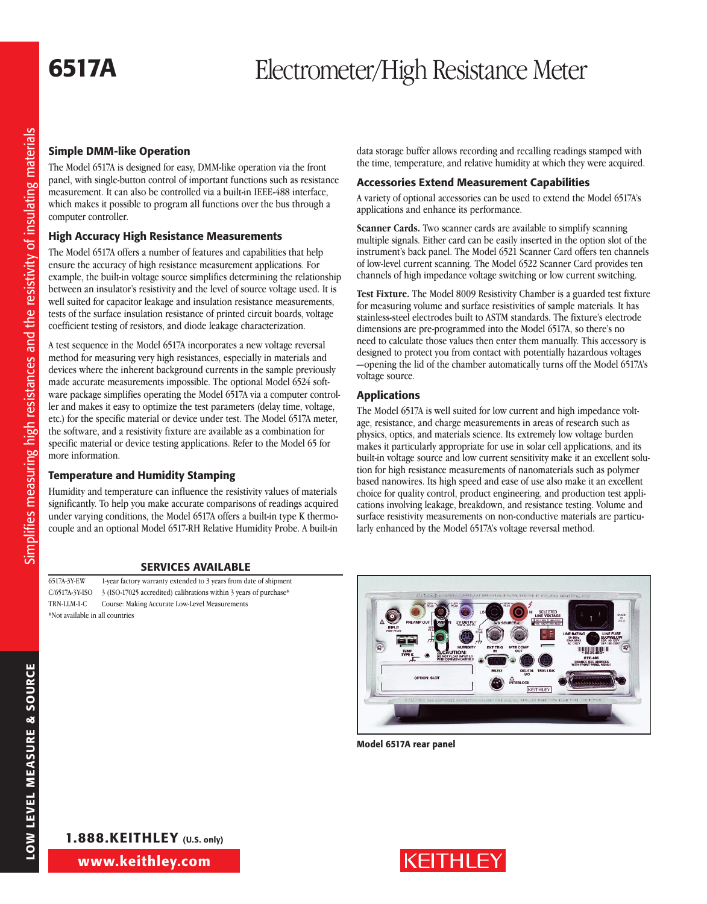### Simple DMM-like Operation

The Model 6517A is designed for easy, DMM-like operation via the front panel, with single-button control of important functions such as resistance measurement. It can also be controlled via a built-in IEEE-488 interface, which makes it possible to program all functions over the bus through a computer controller.

### High Accuracy High Resistance Measurements

The Model 6517A offers a number of features and capabilities that help ensure the accuracy of high resistance measurement applications. For example, the built-in voltage source simplifies determining the relationship between an insulator's resistivity and the level of source voltage used. It is well suited for capacitor leakage and insulation resistance measurements, tests of the surface insulation resistance of printed circuit boards, voltage coefficient testing of resistors, and diode leakage characterization.

A test sequence in the Model 6517A incorporates a new voltage reversal method for measuring very high resistances, especially in materials and devices where the inherent background currents in the sample previously made accurate measurements impossible. The optional Model 6524 software package simplifies operating the Model 6517A via a computer controller and makes it easy to optimize the test parameters (delay time, voltage, etc.) for the specific material or device under test. The Model 6517A meter, the software, and a resistivity fixture are available as a combination for specific material or device testing applications. Refer to the Model 65 for more information.

#### Temperature and Humidity Stamping

Humidity and temperature can influence the resistivity values of materials significantly. To help you make accurate comparisons of readings acquired under varying conditions, the Model 6517A offers a built-in type K thermocouple and an optional Model 6517-RH Relative Humidity Probe. A built-in

#### Services Available

6517A-3Y-EW 1-year factory warranty extended to 3 years from date of shipment C/6517A-3Y-ISO 3 (ISO-17025 accredited) calibrations within 3 years of purchase\* TRN-LLM-1-C Course: Making Accurate Low-Level Measurements \*Not available in all countries

data storage buffer allows recording and recalling readings stamped with the time, temperature, and relative humidity at which they were acquired.

#### Accessories Extend Measurement Capabilities

A variety of optional accessories can be used to extend the Model 6517A's applications and enhance its performance.

**Scanner Cards.** Two scanner cards are available to simplify scanning multiple signals. Either card can be easily inserted in the option slot of the instrument's back panel. The Model 6521 Scanner Card offers ten channels of low-level current scanning. The Model 6522 Scanner Card provides ten channels of high impedance voltage switching or low current switching.

**Test Fixture.** The Model 8009 Resistivity Chamber is a guarded test fixture for measuring volume and surface resistivities of sample materials. It has stainless-steel electrodes built to ASTM standards. The fixture's electrode dimensions are pre-programmed into the Model 6517A, so there's no need to calculate those values then enter them manually. This accessory is designed to protect you from contact with potentially hazardous voltages —opening the lid of the chamber automatically turns off the Model 6517A's voltage source.

#### Applications

The Model 6517A is well suited for low current and high impedance voltage, resistance, and charge measurements in areas of research such as physics, optics, and materials science. Its extremely low voltage burden makes it particularly appropriate for use in solar cell applications, and its built-in voltage source and low current sensitivity make it an excellent solution for high resistance measurements of nanomaterials such as polymer based nanowires. Its high speed and ease of use also make it an excellent choice for quality control, product engineering, and production test appli cations involving leakage, breakdown, and resistance testing. Volume and surface resistivity measurements on non-conductive materials are particularly enhanced by the Model 6517A's voltage reversal method.



Model 6517A rear panel

LOW LEVEL MEASUR

e & So

urc e

1.888.KEITHLEY (U.S. only)

www.keithley.com

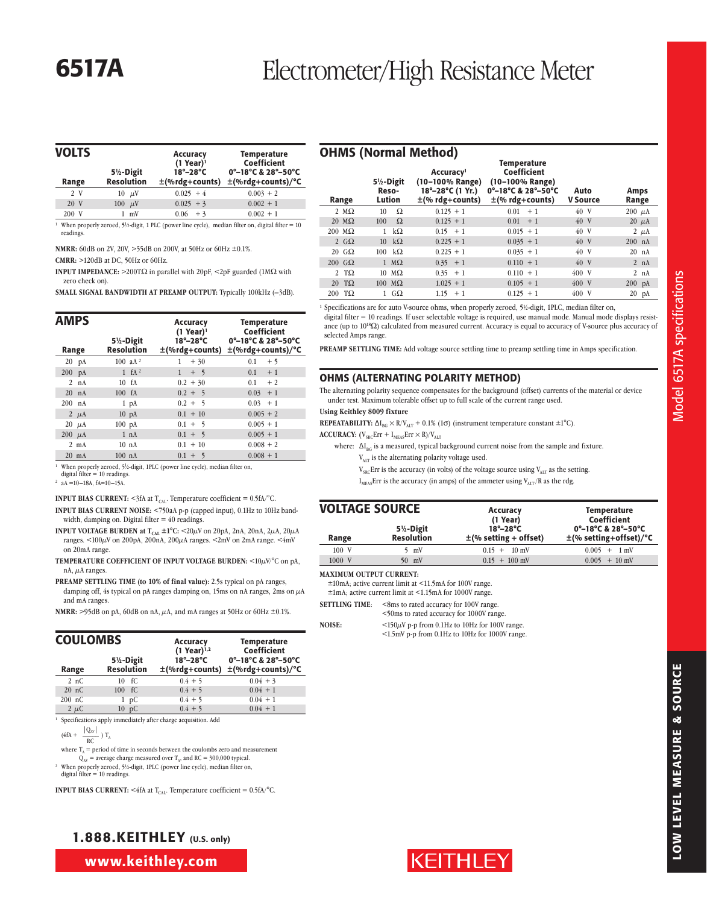| <b>VOLTS</b><br>Range | $5\frac{1}{2}$ -Digit<br><b>Resolution</b> | <b>Accuracy</b><br>$(1$ Year) <sup>1</sup><br>$18^\circ - 28^\circ C$<br>$\pm$ (%rdg+counts) | <b>Temperature</b><br>Coefficient<br>0°-18°C & 28°-50°C<br>$\pm$ (%rdg+counts)/°C                                                        |
|-----------------------|--------------------------------------------|----------------------------------------------------------------------------------------------|------------------------------------------------------------------------------------------------------------------------------------------|
| 2 V                   | $10 \mu V$                                 | $0.025 + 4$                                                                                  | $0.003 + 2$                                                                                                                              |
| 20 V                  | $\mu$ V<br>100                             | $0.025 + 3$                                                                                  | $0.002 + 1$                                                                                                                              |
| 200 V                 | $1 \text{ mV}$                             | $0.06 + 3$                                                                                   | $0.002 + 1$                                                                                                                              |
|                       |                                            |                                                                                              | <sup>1</sup> When properly zeroed, 5 <sup>1</sup> / <sub>2</sub> -digit, 1 PLC (power line cycle), median filter on, digital filter = 10 |

readings.

**NMRR:** 60dB on 2V, 20V, >55dB on 200V, at 50Hz or 60Hz ±0.1%.

**CMRR:** >120dB at DC, 50Hz or 60Hz.

**INPUT IMPEDANCE:**  $>200$ T $\Omega$  in parallel with 20pF,  $\leq$ 2pF guarded (1M $\Omega$  with zero check on).

**SMALL SIGNAL BANDWIDTH AT PREAMP OUTPUT:** Typically 100kHz (–3dB).

| <b>AMPS</b>    |                               | Accuracy<br>$(1$ Year) <sup>1</sup> | <b>Temperature</b><br>Coefficient                                |
|----------------|-------------------------------|-------------------------------------|------------------------------------------------------------------|
| Range          | 5½-Digit<br><b>Resolution</b> | $18^\circ - 28^\circ$ C             | 0°-18°C & 28°-50°C<br>$\pm$ (%rdg+counts) $\pm$ (%rdg+counts)/°C |
| $20$ pA        | 100 $aA^2$                    | 1<br>$+30$                          | 0.1<br>$+5$                                                      |
| $200$ pA       | $1 \text{ fA}^2$              | $+ 5$                               | 0.1<br>$+1$                                                      |
| 2 nA           | 10 <sub>fA</sub>              | $0.2 + 30$                          | 0.1<br>$+2$                                                      |
| $20$ nA        | 100 <sub>fA</sub>             | $0.2 + 5$                           | $0.03 + 1$                                                       |
| $200$ nA       | $1$ pA                        | $0.2 + 5$                           | $0.03 + 1$                                                       |
| 2 $\mu$ A      | $10 \text{ pA}$               | $0.1 + 10$                          | $0.005 + 2$                                                      |
| $20 \mu A$     | $100 \text{ pA}$              | $0.1 + 5$                           | $0.005 + 1$                                                      |
| $200 \mu A$    | 1 nA                          | $0.1 + 5$                           | $0.005 + 1$                                                      |
| $2 \text{ mA}$ | 10 <sub>nA</sub>              | $0.1 + 10$                          | $0.008 + 2$                                                      |
| $20$ mA        | $100 \text{ nA}$              | $0.1 + 5$                           | $0.008 + 1$                                                      |

<sup>1</sup> When properly zeroed, 51 ⁄2-digit, 1PLC (power line cycle), median filter on, digital filter = 10 readings.

<sup>2</sup> aA =10-18A, fA=10-15A.

**INPUT BIAS CURRENT:** <3fA at  $T_{CAL}$ . Temperature coefficient = 0.5fA/°C.

- **INPUT BIAS CURRENT NOISE:** <750aA p-p (capped input), 0.1Hz to 10Hz bandwidth, damping on. Digital filter = 40 readings.
- **INPUT VOLTAGE BURDEN at**  $T_{\rm{CAL}} \pm 1^{\circ}$ **C:** <20 $\mu$ V on 20pA, 2nA, 20nA, 2 $\mu$ A, 20 $\mu$ A ranges. <100 $\mu$ V on 200pA, 200nA, 200 $\mu$ A ranges. <2mV on 2mA range. <4mV on 20mA range.
- **TEMPERATURE COEFFICIENT OF INPUT VOLTAGE BURDEN:** <10µV/°C on pA, nA,  $\mu$ A ranges.
- **PREAMP SETTLING TIME (to 10% of final value):** 2.5s typical on pA ranges, damping off, 4s typical on pA ranges damping on, 15ms on nA ranges, 2ms on  $\mu$ A and mA ranges.

**NMRR:** >95dB on pA, 60dB on nA,  $\mu$ A, and mA ranges at 50Hz or 60Hz  $\pm$ 0.1%.

| <b>COULOMBS</b> |                               | Accuracy<br>$(1$ Year) <sup>1,2</sup> | <b>Temperature</b><br>Coefficient                                |
|-----------------|-------------------------------|---------------------------------------|------------------------------------------------------------------|
| Range           | 5½-Digit<br><b>Resolution</b> | $18^\circ - 28^\circ C$               | 0°-18°C & 28°-50°C<br>$\pm$ (%rdg+counts) $\pm$ (%rdg+counts)/°C |
| 2nC             | $10 \text{ } fC$              | $0.4 + 5$                             | $0.04 + 3$                                                       |
| 20 nC           | 100 fC                        | $0.4 + 5$                             | $0.04 + 1$                                                       |
| $200$ nC        | 1 pC                          | $0.4 + 5$                             | $0.04 + 1$                                                       |
| $2 \mu C$       | 10 pC                         | $0.4 + 5$                             | $0.04 + 1$                                                       |

<sup>1</sup> Specifications apply immediately after charge acquisition. Add

 $\frac{|Q_{AV}|}{RC}$ ) T<sub>A</sub>

where  $T_A$  = period of time in seconds between the coulombs zero and measurement

 $Q_{AV}$  = average charge measured over T<sub>A</sub>, and RC = 300,000 typical.

<sup>2</sup> When properly zeroed, 51 ⁄2-digit, 1PLC (power line cycle), median filter on, digital filter = 10 readings.

**INPUT BIAS CURRENT:** <4fA at  $T_{CAL}$ . Temperature coefficient = 0.5fA/°C.

|                           |     |                                          | OHMS (Normal Method)                                                                 |                                                                                                    |                         |                      |
|---------------------------|-----|------------------------------------------|--------------------------------------------------------------------------------------|----------------------------------------------------------------------------------------------------|-------------------------|----------------------|
| Range                     |     | $5\frac{1}{2}$ -Digit<br>Reso-<br>Lution | Accuracy <sup>1</sup><br>(10-100% Range)<br>18°-28°C (1 Yr.)<br>$\pm$ (% rdg+counts) | <b>Temperature</b><br>Coefficient<br>(10-100% Range)<br>0°-18°C & 28°-50°C<br>$\pm$ (% rdg+counts) | Auto<br><b>V</b> Source | <b>Amps</b><br>Range |
| $2 M\Omega$               | 10  | Ω                                        | $0.125 + 1$                                                                          | $+1$<br>0.01                                                                                       | 40 V                    | $200 \mu A$          |
| $20 \text{ M}\Omega$      | 100 | Ω                                        | $0.125 + 1$                                                                          | 0.01<br>$+1$                                                                                       | 40 V                    | $20 \mu A$           |
| $200 \text{ M}\Omega$     | 1   | $k\Omega$                                | $0.15 + 1$                                                                           | $0.015 + 1$                                                                                        | 40 V                    | $2 \mu A$            |
| 2 $G\Omega$               | 10  | $k\Omega$                                | $0.225 + 1$                                                                          | $0.035 + 1$                                                                                        | 40 V                    | $200$ nA             |
| $20 \text{ } G\Omega$     | 100 | $k\Omega$                                | $0.225 + 1$                                                                          | $0.035 + 1$                                                                                        | 40 V                    | $20$ nA              |
| $200 \text{ }$ G $\Omega$ |     | $1 \text{ M}\Omega$                      | $0.35 + 1$                                                                           | $0.110 + 1$                                                                                        | 40 V                    | $2 \text{ nA}$       |
| 2 T $\Omega$              |     | $10 \text{ M}\Omega$                     | $0.35 + 1$                                                                           | $0.110 + 1$                                                                                        | 400 V                   | 2 nA                 |
| $20$ TQ                   |     | $100 \text{ M}\Omega$                    | $1.025 + 1$                                                                          | $0.105 + 1$                                                                                        | 400 V                   | $200$ pA             |
| $200$ T $\Omega$          |     | $1 \text{ } G\Omega$                     | $1.15 + 1$                                                                           | $0.125 + 1$                                                                                        | 400 V                   | $20$ pA              |
|                           |     |                                          |                                                                                      |                                                                                                    |                         |                      |

<sup>1</sup> Specifications are for auto V-source ohms, when properly zeroed, 5<sup>1</sup>/<sub>2</sub>-digit, 1PLC, median filter on,

digital filter = 10 readings. If user selectable voltage is required, use manual mode. Manual mode displays resistance (up to 1018Ω) calculated from measured current. Accuracy is equal to accuracy of V-source plus accuracy of selected Amps range.

**PREAMP SETTLING TIME:** Add voltage source settling time to preamp settling time in Amps specification.

#### OHMS (Alternating Polarity Method)

The alternating polarity sequence compensates for the background (offset) currents of the material or device under test. Maximum tolerable offset up to full scale of the current range used.

**Using Keithley 8009 fixture**

**REPEATABILITY:**  $\Delta I_{BG} \times R/V_{ALT} + 0.1\%$  (1 $\sigma$ ) (instrument temperature constant  $\pm 1^{\circ}C$ ).

- **ACCURACY:**  $(V_{\text{SRC}}Err + I_{\text{Meas}}Err \times R)/V_{\text{ALT}}$ 
	- where:  $\Delta I_{BG}$  is a measured, typical background current noise from the sample and fixture.

V<sub>ALT</sub> is the alternating polarity voltage used.

- $V_{SRC}$ Err is the accuracy (in volts) of the voltage source using  $V_{ALT}$  as the setting.
- $I_{MEAS}$ Err is the accuracy (in amps) of the ammeter using  $V_{ALT}$ /R as the rdg.

| <b>VOLTAGE SOURCE</b> |                                            | Accuracy<br>(1 Year)                                    | <b>Temperature</b><br>Coefficient                 |
|-----------------------|--------------------------------------------|---------------------------------------------------------|---------------------------------------------------|
| Range                 | $5\frac{1}{2}$ -Digit<br><b>Resolution</b> | $18^{\circ}-28^{\circ}$ C<br>$\pm$ (% setting + offset) | 0°-18°C & 28°-50°C<br>$\pm$ (% setting+offset)/°C |
| $100\text{ V}$        | 5 $mV$                                     | $0.15 + 10$ mV                                          | $0.005 + 1$ mV                                    |
| 1000 V                | $50$ mV                                    | $0.15 + 100$ mV                                         | $0.005 + 10$ mV                                   |

**MAXIMUM OUTPUT CURRENT:**

±10mA; active current limit at <11.5mA for 100V range.

±1mA; active current limit at <1.15mA for 1000V range.

**SETTLING TIME:** <8ms to rated accuracy for 100V range.

<50ms to rated accuracy for 1000V range.

|--|

 $150 \mu V$  p-p from 0.1Hz to 10Hz for 100V range. <1.5mV p-p from 0.1Hz to 10Hz for 1000V range.



Model 6517A specifications

Model 6517A specifications

1.888.KEITHLEY (U.S. only)

www.keithley.com